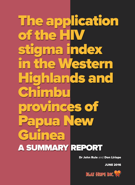**The application** of the **H stigma index in the Western Highlands and Timb provinces of Papua new Guinea a summaRy RePoRT**

The application of the HIV stigma index

in the Western Highlands

**Dr John Rule** and **Don Liriope**

**June 2016**

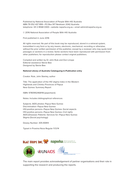Published by National Association of People With HIV Australia ABN 79 052 437 899 • PO Box 917 Newtown 2042 Australia telephone +61 2 8568 0300 • website napwha.org.au • email admin@napwha.org.au

© 2016 National Association of People With HIV Australia

First published in June 2016

All rights reserved. No part of this book may be reproduced, stored in a retrieval system, transmitted in any form or by any means, electronic, mechanical, recording or otherwise, without the prior written permission of the publisher, except by a reviewer who may quote brief passages or sections in a review. Some sections have been reproduced with permission from other publishers; for reproduction please contact original publishers.

Compiled and written by Dr John Rule and Don Liriope Editorial assistance Stevie Bee Designed by Stevie Bee

#### **National Library of Australia Cataloguing-in-Publication entry**

Creator: Rule, John Stanley, author

Title: The application of the HIV stigma index in the Western Highlands and Chimbu Provinces of Papua New Guinea: Summary Report

ISBN: 9780992468118 (paperback)

Notes: Includes bibliographical references

Subjects: AIDS phobia--Papua New Guinea Discrimination--Papua New Guinea HIV-positive persons--Papua New Guinea--Social aspects HIV-positive persons--Papua New Guinea--Civil rights AIDS (Disease)--Patients--Services for--Papua New Guinea Stigma (Social psychology)

Dewey Number: 305.90814

Typset in Proxima Nova Regular 11.5/14



The main report provides acknowledgement of partner organisations and their role in supporting the research and producing the reports.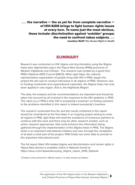**. . . the narrative — the as yet far from complete narrative of HIV/aIDs brings to light human rights issues at every turn. To name just the most obvious, these include: discrimination against 'outsider' groups; the need to confront taboo subjects . . . Jonathan Wolff The Human Right to Health**

## **summaRy**

Research was conducted on HIV stigma and discrimination using the Stigma Index (see stigmaindex.org) in the Papua New Guinea (PNG) provinces of Western Highlands and Chimbu\*. The research was funded by a grant from PNG's National AIDS Council (NACS). When Igat Hope, the national representative organisation of people living with HIV in PNG, began the project the aim was to conduct interviews in all regions of PNG. However, due to funding constraints and organisational capacities, the Stigma Index has only been applied in one region, that is, the Highlands Region.

The data, the analysis and the recommendations are important and should be taken into account by all involved in the response to the HIV epidemic in PNG. The catch-cry in PNG is that 'HIV is everybody's business' so finding solutions to the problems identified in this report is indeed everybody's business.

The research conducted thus far, and the results contained in this report should be considered as the first steps in an ongoing project aiming to cover all regions in PNG. Igat Hope will need the assistance of numerous partners to continue with this work and there may be other research models, such as action research approaches, that could enhance the information being gathered through the implementation of the Stigma Index in PNG. The Stigma Index is an important international initiative and now, through the completion of at least a small part of the project, PNG finally has some data to provide to this important international work.

The full report titled HIV-related stigma and discrimination and human rights in Papua New Guinea is available online in flipbook format at https://issuu.com/napwa/docs/png\_stigma\_report\_2016\_flipbook.

\*Chimbu is the province's official name; it is also known as Simbu.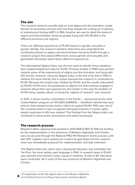## **The aim**

The research aimed to provide data on how stigma and discrimination create barriers to accessing services and how they impede the scaling-up of delivery of antiretroviral therapy (ART) in PNG. Another aim was to detail the levels of stigma and discrimination faced by people living with HIV (PLHIV) in the different provinces and regions.

There are differing experiences of PLHIV based on gender, sexuality or gender identity. The research aimed to determine and understand the contributing factors to stigma and discrimination faced by PLHIV through a research project that valued differences across gender and sexuality and generated information about those different experiences.

The international Stigma Index was the tool used to identify those situations that created heightened risks for PLHIV. Previous studies in PNG have pointed towards some of the experiences of stigma and discrimination and living with HIV but this research, using the Stigma Index, is the first of its kind in PNG to address the issue directly and is unique because the research is conducted by PLHIV. Because the project was initiated by PLHIV, and the results interpreted by PLHIV, PLHIV were not positioned as objects but were actively engaged in research about their own experiences and needs; in this way the problem of PLHIV being 'spoken about' or being the 'objects of research' was resolved.

In 2013, a seven-country consultation in the Pacific — sponsored by the Joint United Nations program on HIV/AIDS (UNAIDS) — identified national laws and policies that needed review and/or reform to support PLHIV. PNG was one of the countries where it was recognised that good practice in human rightsbased responses to HIV was needed. The findings from the Stigma Index can contribute to these policy discussions and reform processes.

## **The research process**

Research ethics approval was granted in 2010 (NACS RES 10 014) but funding for the implementation in the provinces of Western Highlands and Chimbu was not secured through the National PNG HIV Research Grants process until late 2011. Logistics were quickly put in place by Igat Hope and the research team was immediately prepared for implementation and data collection.

The Stigma Index tool, which was a structured interview, was translated into Tok Pisin, the most widely-used language in PNG. A research team of PLHIV was selected and trained in basic research methods. A total of 80 interviews were conducted, 40 in each of the two provinces of Western Highlands and Chimbu.

The application of the HIV stigma index in the Western Highlands **<sup>4</sup>** and Chimbu Provinces of Papua New Guinea: Summary Report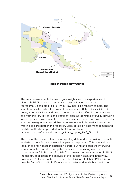

**map of Papua new Guinea**

The sample was selected so as to gain insights into the experiences of diverse PLHIV in relation to stigma and discrimination. It is not a representative sample of all PLHIV in PNG, nor is it a random sample. The sample was selected on the basis of convenience. All hospitals, clinics, aid posts, antenatal clinics and drop-in centres were identified in the provinces and from this list, key care and treatment sites as identified by PLHIV networks in each province were selected. The convenience method was used, whereby key site managers advertised that interviewers would be available for those wanting to participate in the research. More details on data management and analytic methods are provided in the full report found at https://issuu.com/napwa/docs/png\_stigma\_report\_2016\_flipbook

The role of the research team in interpreting data and undertaking a thematic analysis of the information was a key part of the process. This involved the team engaging in regular discussion before, during and after the interviews were conducted and discussing the nuances of translating words and concepts from Tok Pisin into English. This research actively engaged PLHIV in the design, application and analysis of the research data, and in this way, positioned PLHIV centrally in research about living with HIV in PNG. It is not only the first of its kind in PNG to address the issue directly, but the first to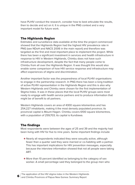have PLHIV conduct the research, consider how to best articulate the results, then to decide and act on it. It is unique in the PNG context and a very important model for future work.

## **The Highlands Region**

Estimates and surveillance data available at the time the project commenced showed that the Highlands Region had the highest HIV prevalence rate in PNG (see NDoH and NACS 2006 in the main report) and therefore was targeted as the first and most important place to implement the project. While there has been a significant investment in services and health infrastructure in response to HIV in Western Highlands, Chimbu does not have such infrastructure development, despite the fact that many people come to Chimbu from all over the Highlands Region. It was thought this would also enable some comparison of how HIV service response and infrastructure may affect experiences of stigma and discrimination.

Another important factor was the preparedness of local PLHIV organisations to engage in the partnership research. In PNG there has been a long tradition of active PLHIV representation in the Highlands Region and this is also why Western Highlands and Chimbu were chosen for the first implementation of Stigma Index. It was in these places that the local PLHIV groups were most ready to engage with health service partners and to produce information that might be of benefit to all partners.

Western Highlands covers an area of 4300 square kilomentres and has 254,227 inhabitants, making it the most densely populated province; its provincial capital is Mount Hagen. Chimbu covers 6100 square kilomentres, with a population of 259,703; its capital is Kundiawa.

## **The findings**

Most respondents were between the ages of 25 and 39 and the majority had been living with HIV for five to nine years. Some important findings include

- Nearly all respondents indicated they were sexually active, although fewer than a quarter said they were married or co-habiting with a partner. This has important implications for HIV prevention messages, especially because the interview information showed that not all people were taking ART.
- More than 10 percent identified as belonging to the category of sex worker. A small percentage said they belonged to the group men who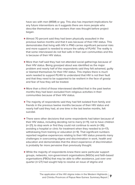have sex with men (MSM) or gay. This also has important implications for any future interventions as it suggests there are more people who describe themselves as sex workers than was thought before project began.

- Almost 70 percent said they had been physically assaulted in the previous twelve months and that it was because of their HIV status. This demonstrates that living with HIV in PNG carries significant personal risks and more support is needed to ensure the safety of PLHIV. The reality is that some interviewed do not feel safe in their own communities and this is because of their HIV status.
- l More than half said they had not attended social gatherings because of their HIV status. Being gossiped about was identified as the major problem and nearly half of the respondents said they felt ashamed, guilty or blamed themselves for their HIV status. This implies there is much work needed to support PLHIV to understand that HIV is not their fault and that they need to be supported to be resilient in the face of gossip and fear of how they will be treated.
- **More than a third of those interviewed identified that in the past twelve** months they had been excluded from religious activities in their communities because of their HIV status.
- The majority of respondents said they had felt isolated from family and friends in the previous twelve months because of their HIV status and nearly half said they had, at one time in the last twelve months, felt suicidal.
- **There were other decisions that some respondents had taken because of** their HIV status, including deciding not to marry (n=11); not to have children (n=21); to stop work or find they could not continue to work (n=36); avoiding a hospital or clinic for treatment when they needed to (n=17); withdrawing from training or education (n=9). That significant numbers reported negative experiences relating to their HIV status presents many challenges in overcoming stigma and discrimination in work, health and education and demonstrates that the direct experience of discrimination is probably far more pervasive than previously thought.
- While the majority of respondents knew there were particular support groups, networks, non-government organisations (NGOs) and faith-based organisations (FBOs) that may be able to offer assistance, just over onequarter (n=27) had sought help to resolve an issue of stigma and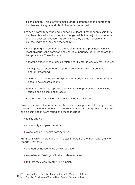discrimination. This is a very small number compared to the number of incidences of stigma and discrimination experienced.

- When it came to testing and diagnosis, at least 14 respondents said they had been tested without their knowledge. While the majority did receive pre- and post-test counselling, some said they did not receive any counselling when they had the test (n=7).
- $\bullet$  In comparing and contrasting the data from the two provinces, what is most obvious is the common and shared experience of PLHIV across the two provinces. These include
	- **1** that the experience of gossip related to HIV status was almost universal;
	- **2** a majority of respondents reported being verbally insulted, harassed and/or threatened;
	- **3** two-thirds reported some experience of physical harassment/threat or actual physical assault and;
	- **4** most respondents reported a similar array of perceived reasons why stigma and discrimination occur.

Further information is detailed in Part 5 of the full report.

Based on some of the information above, and through thematic analysis, the research team identified that there were a number of settings in which stigma and discrimination were found and these included

- $\bullet$  family and clan
- **community and peer networks**
- **.** workplaces and health care settings.

From data, which is provided in full detail in Part 5 of the main report, PLHIV reported that they

- **.** avoided being identified as HIV-positive
- l experienced feelings of hurt and abandonment
- **•** felt that they were treated like rubbish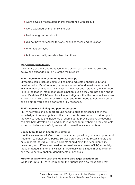- were physically assaulted and/or threatened with assault
- were excluded by the family and clan
- had been gossiped about
- **In did not have fair access to work, health services and education**
- **•** often felt betraved
- **•** felt their sexuality was despised by others.

## **Recommendations**

A summary of the areas identified where action can be taken is provided below and expanded in Part 6 of the main report.

## **PLHiV networks and community relationships**

Strategies could include communities being educated about PLHIV and provided with HIV information; more awareness of and sensitisation about PLHIV in their communities is crucial for healthier understanding; PLHIV need to take the lead in information dissemination, even if they are not open about their HIV status; PLHIV need to talk about stigma within the communities even if they haven't disclosed their HIV status; and PLHIV need to help each other and be empowered to be part of the HIV response.

## **PLHiV network building and peer interaction**

PLHIV networks and support groups need to build their capacities in the knowledge of human rights and the use of conflict resolution to better uphold the work to reduce the incidence of stigma at the provincial level. Networks can also help develop skills and build resilience for members so they are able to respond when acts of stigma and discrimination are encountered.

## **Capacity-building in health care settings**

Health care workers (HCWs) need more capacity-building in care, support and treatment to better serve PLHIV. Services provided by the HCWs should and must respect individual rights; all clients should have their confidentiality protected; and HCWs also need to be sensitive in all areas of HIV, especially those engaged in antenatal clinics, STI (sexually transmitted infection) clinics and the general outpatient departments of hospitals.

#### **Further engagement with the legal and para-legal practitioners**

While it is up to PLHIV to learn about their rights, it is also recognised that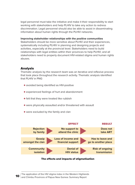legal personnel must take the initiative and make it their responsibility to start working with stakeholders and help PLHIV to take any action to redress discrimination. Legal personnel should also be able to assist in disseminating information about human rights through the PLHIV networks.

#### **improving stakeholder relationships with the positive communities**

Stakeholders should be more sensitive about PLHIV and their experiences, systematically including PLHIV in planning and designing projects and activities, especially at the provincial level. Stakeholders need to build relationships with legal entities within their provinces to help PLHIV; and all stakeholders need to properly document HIV-related stigma and human rights abuses.

## **analysis**

Thematic analysis by the research team was an iterative and reflexive process that took place throughout the research activity. Thematic analysis identified that PLHIV in PNG

- **•** avoided being identified as HIV-positive
- l experienced feelings of hurt and abandonment
- **•** felt that they were treated like rubbish
- were physically assaulted and/or threatened with assault
- were excluded by the family and clan



## **The effects and impacts of stigmatisation**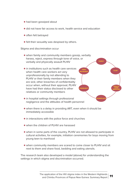- had been gossiped about
- **In did not have fair access to work, health service and education**
- **often felt betrayed**
- **•** felt their sexuality was despised by others.

Stigma and discrimination occur

- $\bullet$  when family and community members gossip, verbally harass, reject, express through tone of voice, or verbally and physically assault PLHIV
- $\bullet$  in institutions such as health care services when health care workers act very unprofessionally by not attending to PLHIV or their family members when they are sick; other breaches of confidentiality occur when, without their approval, PLHIV have had their status disclosed to other relatives or community members
- $\bullet$  in hospital settings through professional negligence and the attitudes of health personnel
- when there is a delay in providing ART, even when it should be immediately accessible
- $\bullet$  in interactions with the police force and churches
- when the children of PLHIV are harassed
- l when in some parts of the country, PLHIV are not allowed to participate in cultural activities, for example, initiation ceremonies for boys moving from young teen to manhood

**CommunITy**

**PeeR**

**famILy**

**WoRkPLaCe**

**HeaLTH CaRe seRVICes**

**neTWoRks CLan**

l when community members are scared to come closer to PLHIV and sit next to them and share food, bedding and eating utensils.

The research team also developed a model (above) for understanding the settings in which stigma and discrimination occurred.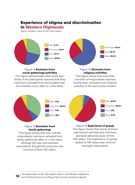# **experience of stigma and discrimination**

**in Western Highlands**

figure numbers refer to the main report



#### Figure 11 **exclusion from social gatherings/activities**

This figure demonstrates that nearly twothirds of the participants reported that they had been excluded from social gatherings and activities once, often or a few times.



#### Figure 12 **exclusion from religious activities**

This figure shows that more than one-third of respondents reported having been excluded from religious activities in the past twelve months.



## Figure 13 **exclusion from family gatherings**

This figure shows that over half the respondents had been excluded from family gatherings often or a few times; although this was self-reported, respondents thought this exclusion was because of their HIV status.



Figure 14 **experience of gossip** This figure shows that nearly all those interviewed said that they had been gossiped about because of their HIV status. The experience of gossip related to HIV status was common amongst respondents.

The application of the HIV stigma index in the Western Highlands and Chimbu Provinces of Papua New Guinea: Summary Report **12**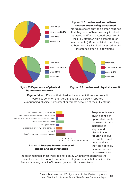

## Figure 16 **experience of physical harassment or threat**

Figure 17 **experience of physical assault**

**Figures 16** and **17** show that physical harassment, threats or assault were less common than verbal. But still 70 percent reported experiencing physical harassment or threats because of their HIV status.



## Figure 18 **Reasons for occurrence of stigma and discrimination**

options to identify they did not know or were not sure of the reason for

the discrimination, most were able to identify what they thought was the cause. Five people thought it was due to religious beliefs, but most identified fear and shame, or lack of knowledge about HIV transmission.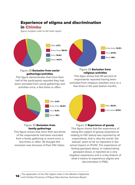## **experience of stigma and discrimination in Chimbu**

figure numbers refer to the main report



#### Figure 28 **exclusion from social gatherings/activities**

This figure demonstrates that more than half of the participants reported they had been excluded from social gatherings and activities once, a few times or often.



This figue shows that 40 percent of respondents reported having been excluded from religious activities once or a few times in the past twelve months.



## Figure 30 **exclusion from family gatherings**

This figure shows that more than two-thirds of the respondents had been excluded from a family gathering or event once, a few times or often. All thought this exclusion was because of their HIV status.



Figure 31 **experience of gossip** This figure shows that the experience of being the subject of gossip (reported as relating to HIV status) was reported by all respondents, that is why the words 'tok baksait' seem to be so important in the actual impact on PLHIV. The experience of feeling gossiped about, or indeed being gossiped about, is reported as a very negative experience and is a key feature of what it means to experience stigma and discrimination in PNG.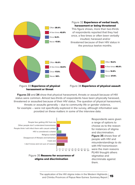

**Figures 33** and **34** show that physical harassment, threats or assault because of HIV status were common. Almost two-thirds of respondents have been physically harassed, threatened or assaulted because of their HIV status. The question of physical harassment, threats or assaults generally – due to community life or gender violence, for example – were not specifically explored in the survey, although information was provided on these matters in some of the interview data.



Respondents were given a range of options to choose as to the reason for instances of stigma and discrimination. **Figure 35** shows fear of people with HIV and misunderstandings to do with HIV transmission were the main reasons PLHIV thought others stigmatise and discriminate against them.